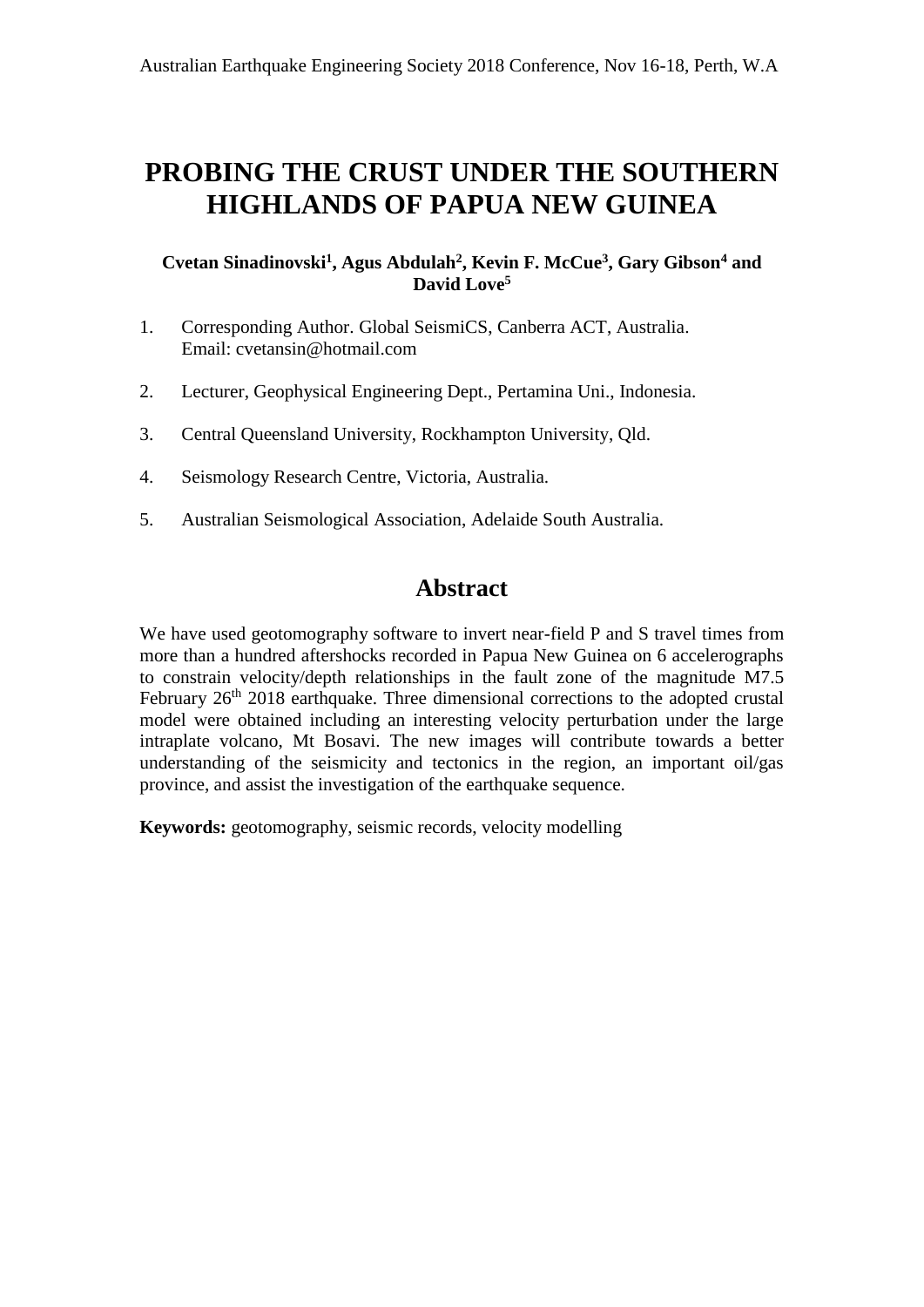# **PROBING THE CRUST UNDER THE SOUTHERN HIGHLANDS OF PAPUA NEW GUINEA**

#### **Cvetan Sinadinovski<sup>1</sup> , Agus Abdulah<sup>2</sup> , Kevin F. McCue<sup>3</sup> , Gary Gibson<sup>4</sup> and David Love<sup>5</sup>**

- 1. Corresponding Author. Global SeismiCS, Canberra ACT, Australia. Email: cvetansin@hotmail.com
- 2. Lecturer, Geophysical Engineering Dept., Pertamina Uni., Indonesia.
- 3. Central Queensland University, Rockhampton University, Qld.
- 4. Seismology Research Centre, Victoria, Australia.
- 5. Australian Seismological Association, Adelaide South Australia.

## **Abstract**

We have used geotomography software to invert near-field P and S travel times from more than a hundred aftershocks recorded in Papua New Guinea on 6 accelerographs to constrain velocity/depth relationships in the fault zone of the magnitude M7.5 February 26<sup>th</sup> 2018 earthquake. Three dimensional corrections to the adopted crustal model were obtained including an interesting velocity perturbation under the large intraplate volcano, Mt Bosavi. The new images will contribute towards a better understanding of the seismicity and tectonics in the region, an important oil/gas province, and assist the investigation of the earthquake sequence.

**Keywords:** geotomography, seismic records, velocity modelling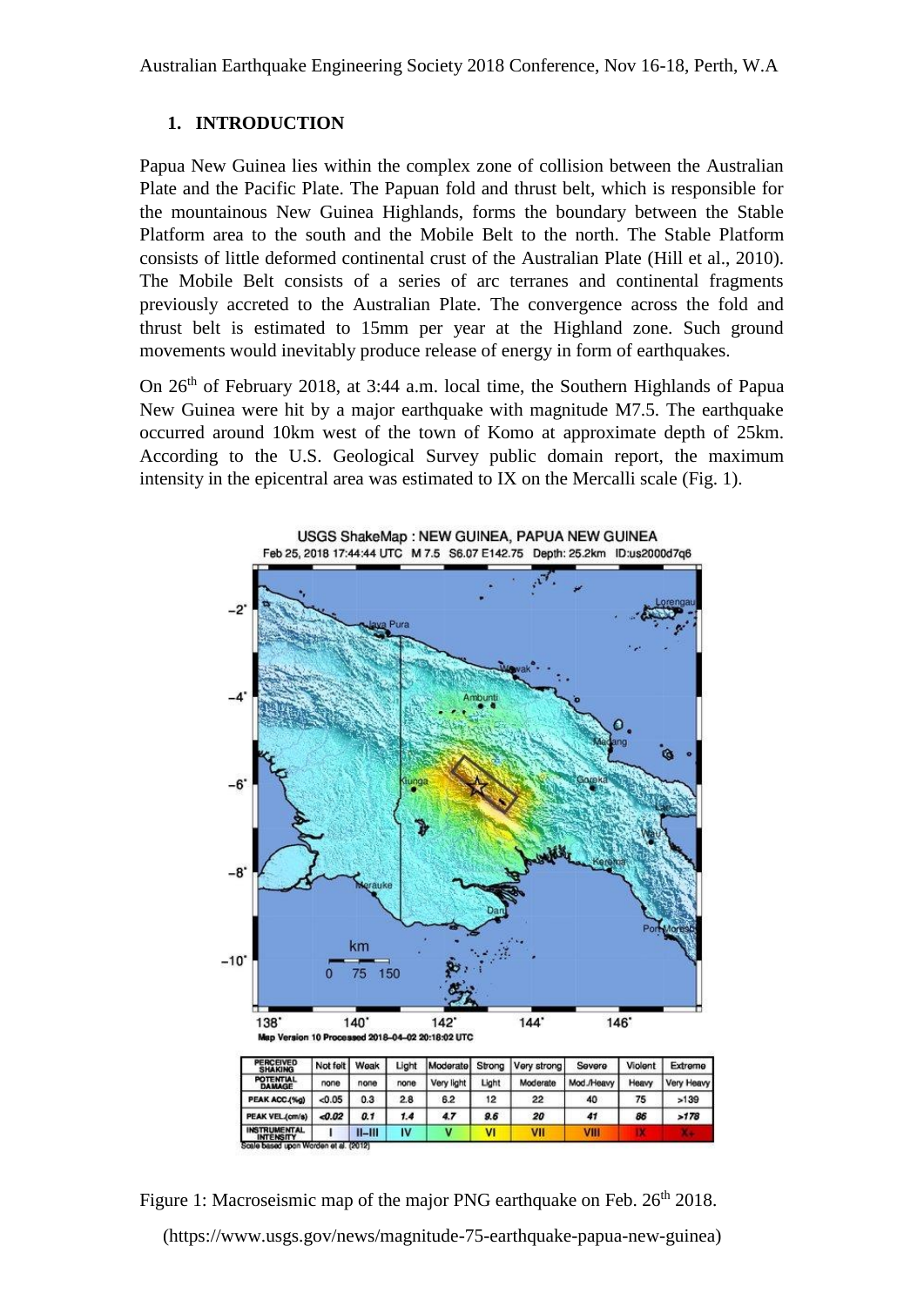## **1. INTRODUCTION**

Papua New Guinea lies within the complex zone of collision between the Australian Plate and the Pacific Plate. The Papuan fold and thrust belt, which is responsible for the mountainous New Guinea Highlands, forms the boundary between the Stable Platform area to the south and the Mobile Belt to the north. The Stable Platform consists of little deformed continental crust of the Australian Plate (Hill et al., 2010). The Mobile Belt consists of a series of arc terranes and continental fragments previously accreted to the Australian Plate. The convergence across the fold and thrust belt is estimated to 15mm per year at the Highland zone. Such ground movements would inevitably produce release of energy in form of earthquakes.

On 26<sup>th</sup> of February 2018, at 3:44 a.m. local time, the Southern Highlands of Papua New Guinea were hit by a major earthquake with magnitude M7.5. The earthquake occurred around 10km west of the town of Komo at approximate depth of 25km. According to the U.S. Geological Survey public domain report, the maximum intensity in the epicentral area was estimated to IX on the Mercalli scale (Fig. 1).



| <b>TENGENED</b><br><b>SHAKING</b>       | Not felt | Weak      | Liaht | Moderate Strong |       | Very strong | Severe     | Violent | Extreme    |
|-----------------------------------------|----------|-----------|-------|-----------------|-------|-------------|------------|---------|------------|
| <b>POTENTIAL</b><br><b>DAMAGE</b>       | none     | none      | none  | Very light      | Light | Moderate    | Mod /Heavy | Heavy   | Very Heavy |
| PEAK ACC (%g)                           | $-0.05$  | 0.3       | 2.8   | 6.2             | 12    | 22          | 40         | 75      | >139       |
| PEAK VEL.(cm/s)                         | $-0.02$  | 0.1       | 1.4   | 4.7             | 9.6   | 20          | 41         | 86      | >178       |
| <b>INSTRUMENTAL</b><br><b>INTENSITY</b> |          | $II$ -III | I۷    |                 | VI    | VII         | VIII       |         |            |
| Scale based upon Worden et al. (2012)   |          |           |       |                 |       |             |            |         |            |

Figure 1: Macroseismic map of the major PNG earthquake on Feb.  $26<sup>th</sup> 2018$ . (https://www.usgs.gov/news/magnitude-75-earthquake-papua-new-guinea)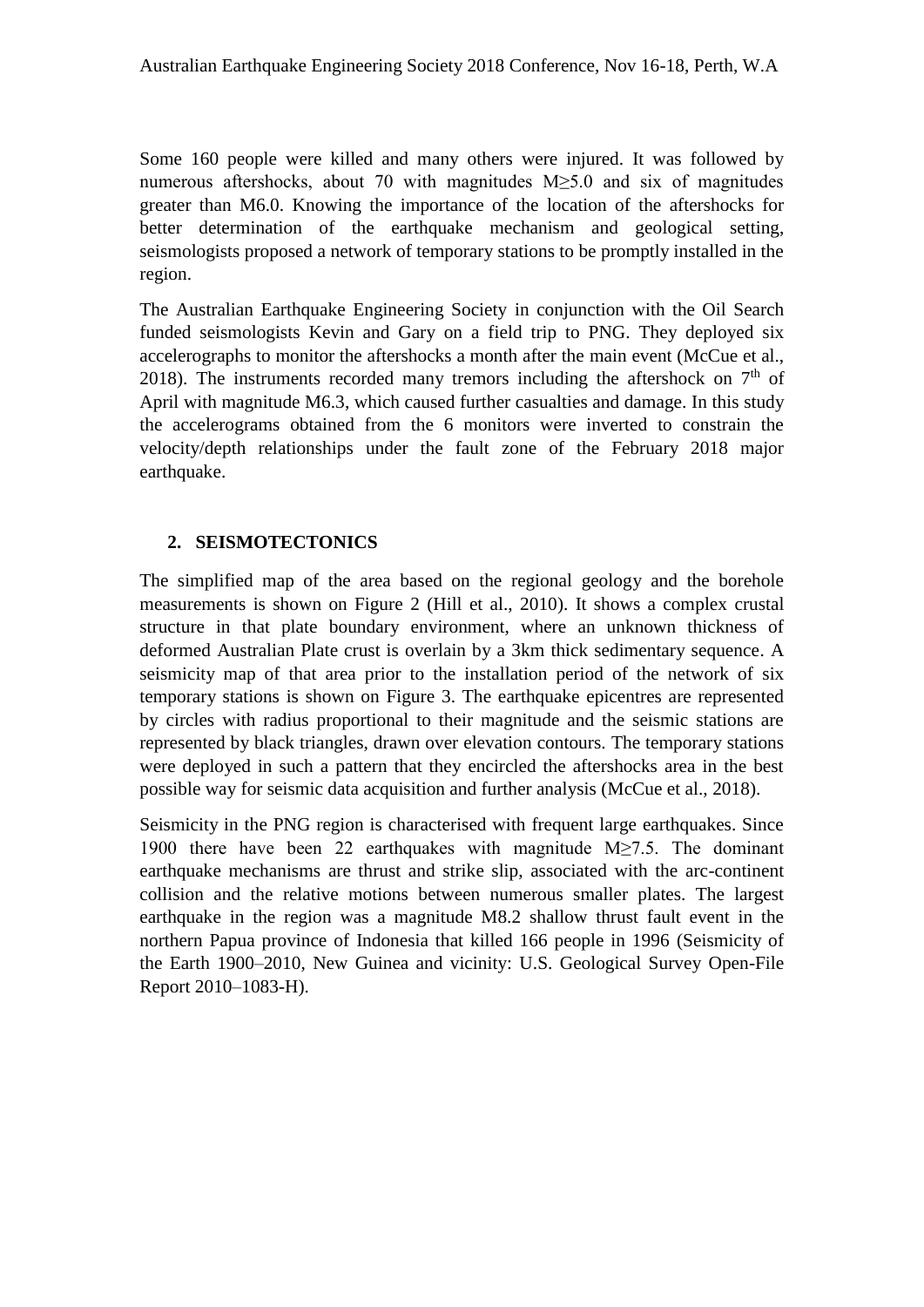Some 160 people were killed and many others were injured. It was followed by numerous aftershocks, about 70 with magnitudes M≥5.0 and six of magnitudes greater than M6.0. Knowing the importance of the location of the aftershocks for better determination of the earthquake mechanism and geological setting, seismologists proposed a network of temporary stations to be promptly installed in the region.

The Australian Earthquake Engineering Society in conjunction with the Oil Search funded seismologists Kevin and Gary on a field trip to PNG. They deployed six accelerographs to monitor the aftershocks a month after the main event (McCue et al., 2018). The instruments recorded many tremors including the aftershock on  $7<sup>th</sup>$  of April with magnitude M6.3, which caused further casualties and damage. In this study the accelerograms obtained from the 6 monitors were inverted to constrain the velocity/depth relationships under the fault zone of the February 2018 major earthquake.

## **2. SEISMOTECTONICS**

The simplified map of the area based on the regional geology and the borehole measurements is shown on Figure 2 (Hill et al., 2010). It shows a complex crustal structure in that plate boundary environment, where an unknown thickness of deformed Australian Plate crust is overlain by a 3km thick sedimentary sequence. A seismicity map of that area prior to the installation period of the network of six temporary stations is shown on Figure 3. The earthquake epicentres are represented by circles with radius proportional to their magnitude and the seismic stations are represented by black triangles, drawn over elevation contours. The temporary stations were deployed in such a pattern that they encircled the aftershocks area in the best possible way for seismic data acquisition and further analysis (McCue et al., 2018).

Seismicity in the PNG region is characterised with frequent large earthquakes. Since 1900 there have been 22 earthquakes with magnitude M≥7.5. The dominant earthquake mechanisms are thrust and strike slip, associated with the arc-continent collision and the relative motions between numerous smaller plates. The largest earthquake in the region was a magnitude M8.2 shallow thrust fault event in the northern Papua province of Indonesia that killed 166 people in 1996 (Seismicity of the Earth 1900–2010, New Guinea and vicinity: U.S. Geological Survey Open-File Report 2010–1083-H).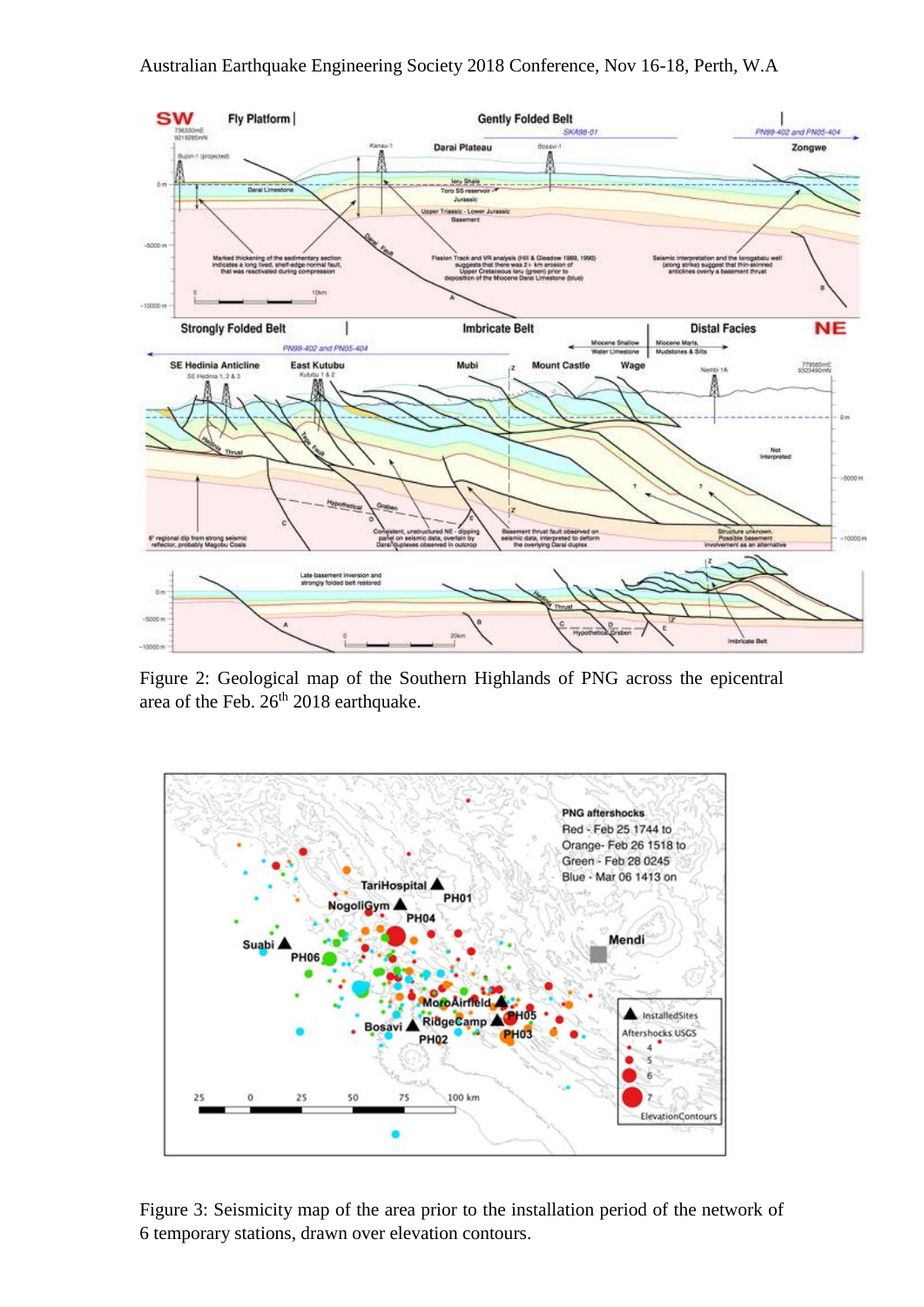

Figure 2: Geological map of the Southern Highlands of PNG across the epicentral area of the Feb.  $26<sup>th</sup>$  2018 earthquake.



Figure 3: Seismicity map of the area prior to the installation period of the network of 6 temporary stations, drawn over elevation contours.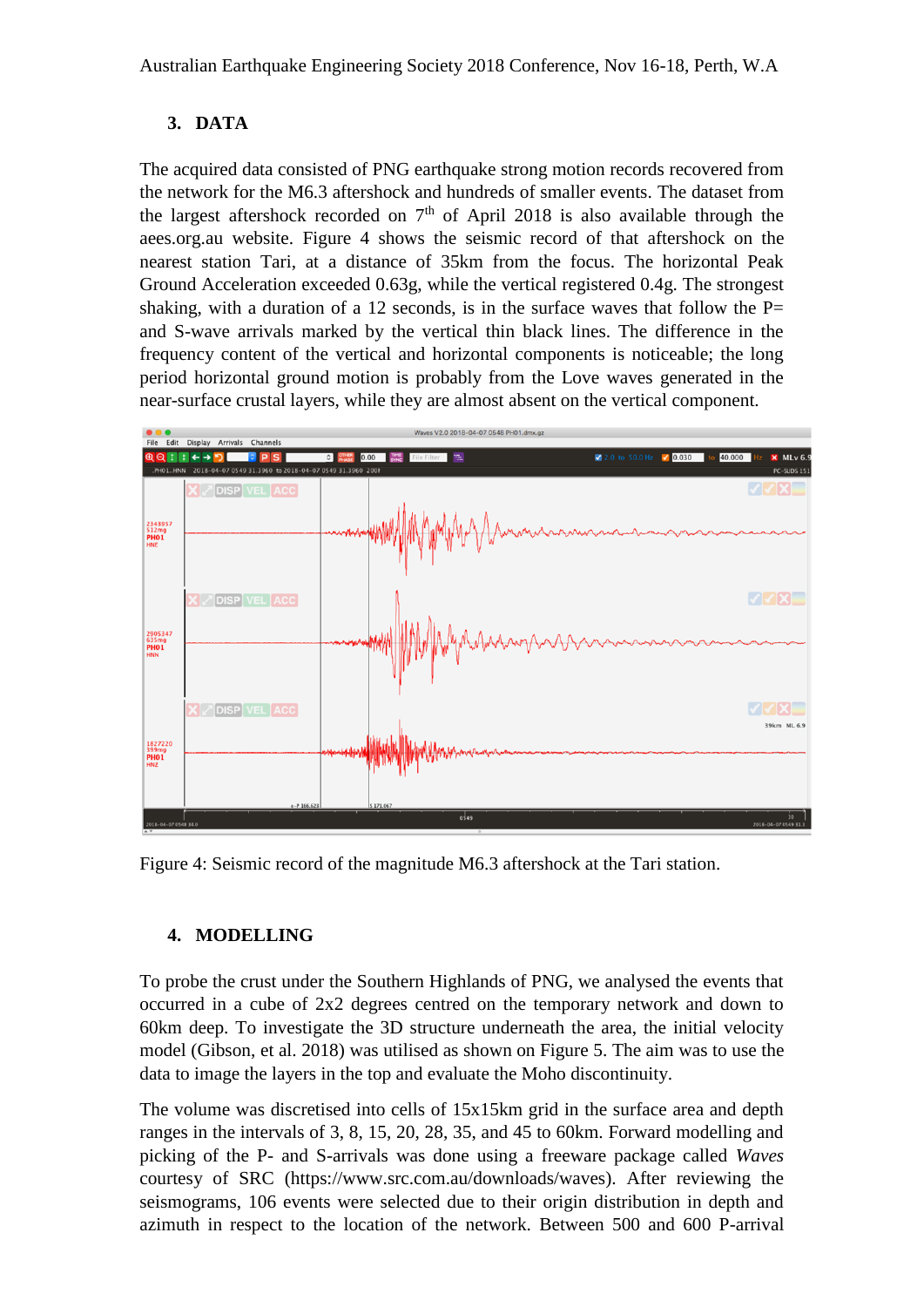## **3. DATA**

The acquired data consisted of PNG earthquake strong motion records recovered from the network for the M6.3 aftershock and hundreds of smaller events. The dataset from the largest aftershock recorded on  $7<sup>th</sup>$  of April 2018 is also available through the aees.org.au website. Figure 4 shows the seismic record of that aftershock on the nearest station Tari, at a distance of 35km from the focus. The horizontal Peak Ground Acceleration exceeded 0.63g, while the vertical registered 0.4g. The strongest shaking, with a duration of a 12 seconds, is in the surface waves that follow the  $P=$ and S-wave arrivals marked by the vertical thin black lines. The difference in the frequency content of the vertical and horizontal components is noticeable; the long period horizontal ground motion is probably from the Love waves generated in the near-surface crustal layers, while they are almost absent on the vertical component.



Figure 4: Seismic record of the magnitude M6.3 aftershock at the Tari station.

## **4. MODELLING**

To probe the crust under the Southern Highlands of PNG, we analysed the events that occurred in a cube of 2x2 degrees centred on the temporary network and down to 60km deep. To investigate the 3D structure underneath the area, the initial velocity model (Gibson, et al. 2018) was utilised as shown on Figure 5. The aim was to use the data to image the layers in the top and evaluate the Moho discontinuity.

The volume was discretised into cells of 15x15km grid in the surface area and depth ranges in the intervals of 3, 8, 15, 20, 28, 35, and 45 to 60km. Forward modelling and picking of the P- and S-arrivals was done using a freeware package called *Waves* courtesy of SRC (https://www.src.com.au/downloads/waves). After reviewing the seismograms, 106 events were selected due to their origin distribution in depth and azimuth in respect to the location of the network. Between 500 and 600 P-arrival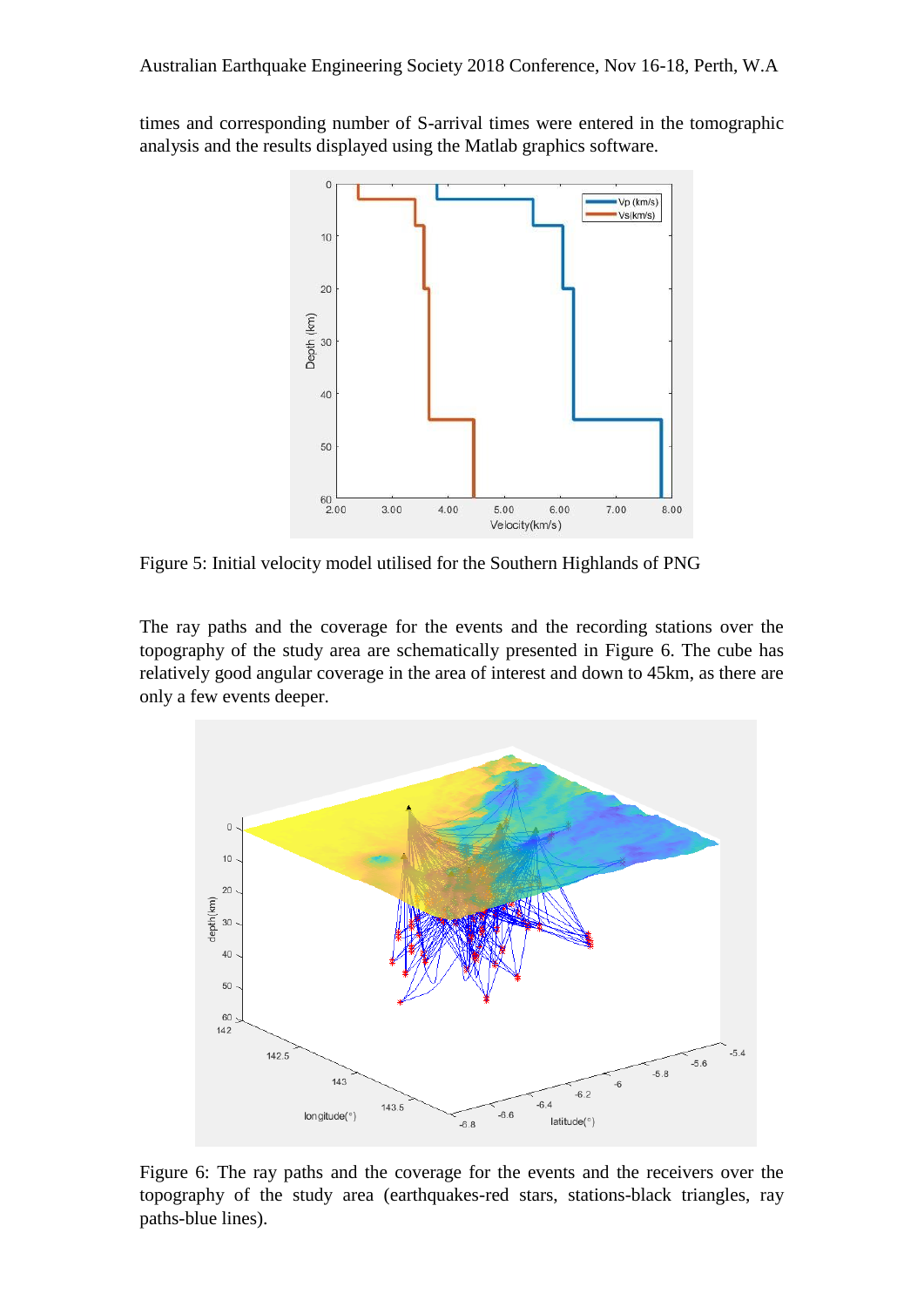times and corresponding number of S-arrival times were entered in the tomographic analysis and the results displayed using the Matlab graphics software.



Figure 5: Initial velocity model utilised for the Southern Highlands of PNG

The ray paths and the coverage for the events and the recording stations over the topography of the study area are schematically presented in Figure 6. The cube has relatively good angular coverage in the area of interest and down to 45km, as there are only a few events deeper.



Figure 6: The ray paths and the coverage for the events and the receivers over the topography of the study area (earthquakes-red stars, stations-black triangles, ray paths-blue lines).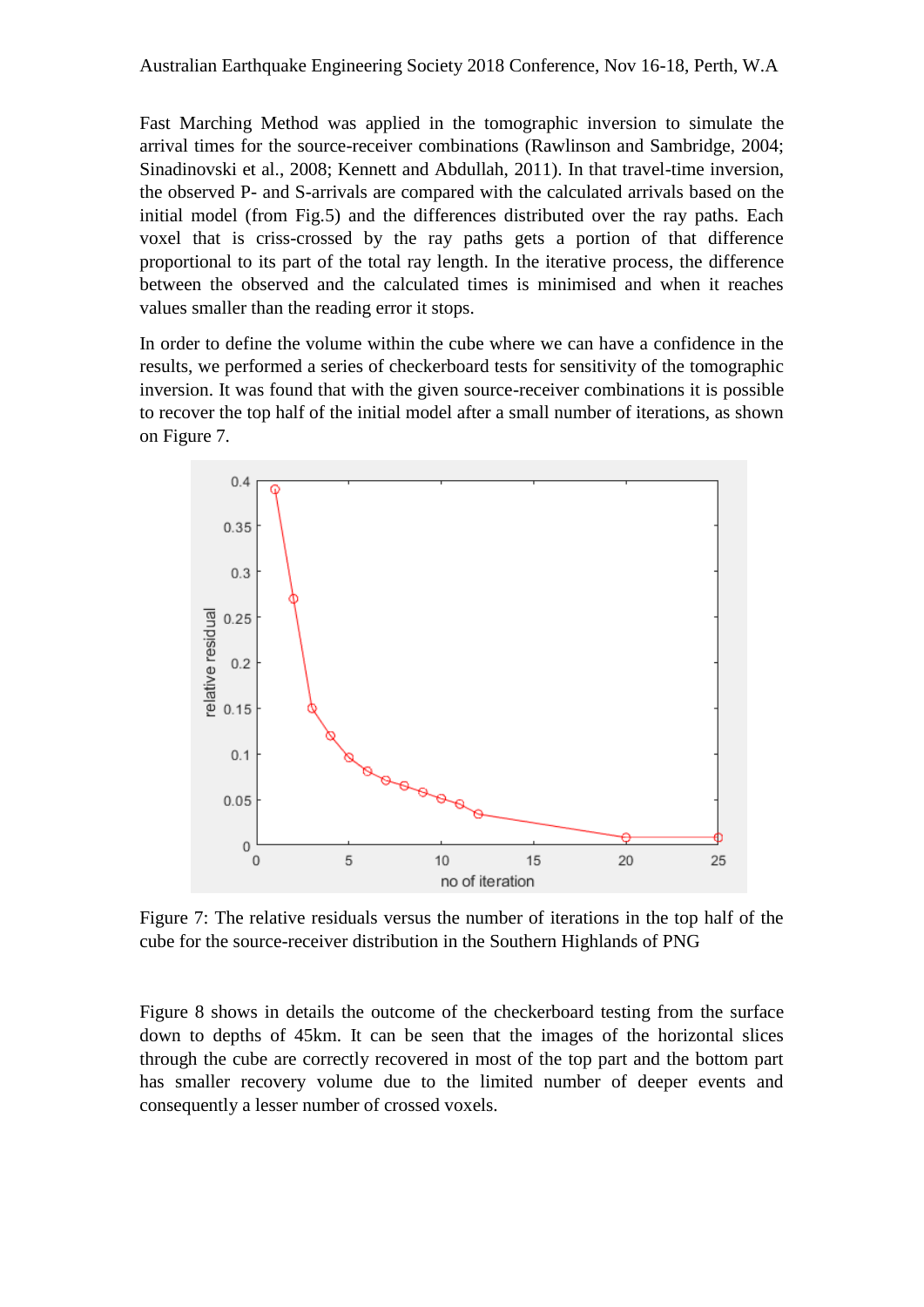Fast Marching Method was applied in the tomographic inversion to simulate the arrival times for the source-receiver combinations (Rawlinson and Sambridge, 2004; Sinadinovski et al., 2008; Kennett and Abdullah, 2011). In that travel-time inversion, the observed P- and S-arrivals are compared with the calculated arrivals based on the initial model (from Fig.5) and the differences distributed over the ray paths. Each voxel that is criss-crossed by the ray paths gets a portion of that difference proportional to its part of the total ray length. In the iterative process, the difference between the observed and the calculated times is minimised and when it reaches values smaller than the reading error it stops.

In order to define the volume within the cube where we can have a confidence in the results, we performed a series of checkerboard tests for sensitivity of the tomographic inversion. It was found that with the given source-receiver combinations it is possible to recover the top half of the initial model after a small number of iterations, as shown on Figure 7.



Figure 7: The relative residuals versus the number of iterations in the top half of the cube for the source-receiver distribution in the Southern Highlands of PNG

Figure 8 shows in details the outcome of the checkerboard testing from the surface down to depths of 45km. It can be seen that the images of the horizontal slices through the cube are correctly recovered in most of the top part and the bottom part has smaller recovery volume due to the limited number of deeper events and consequently a lesser number of crossed voxels.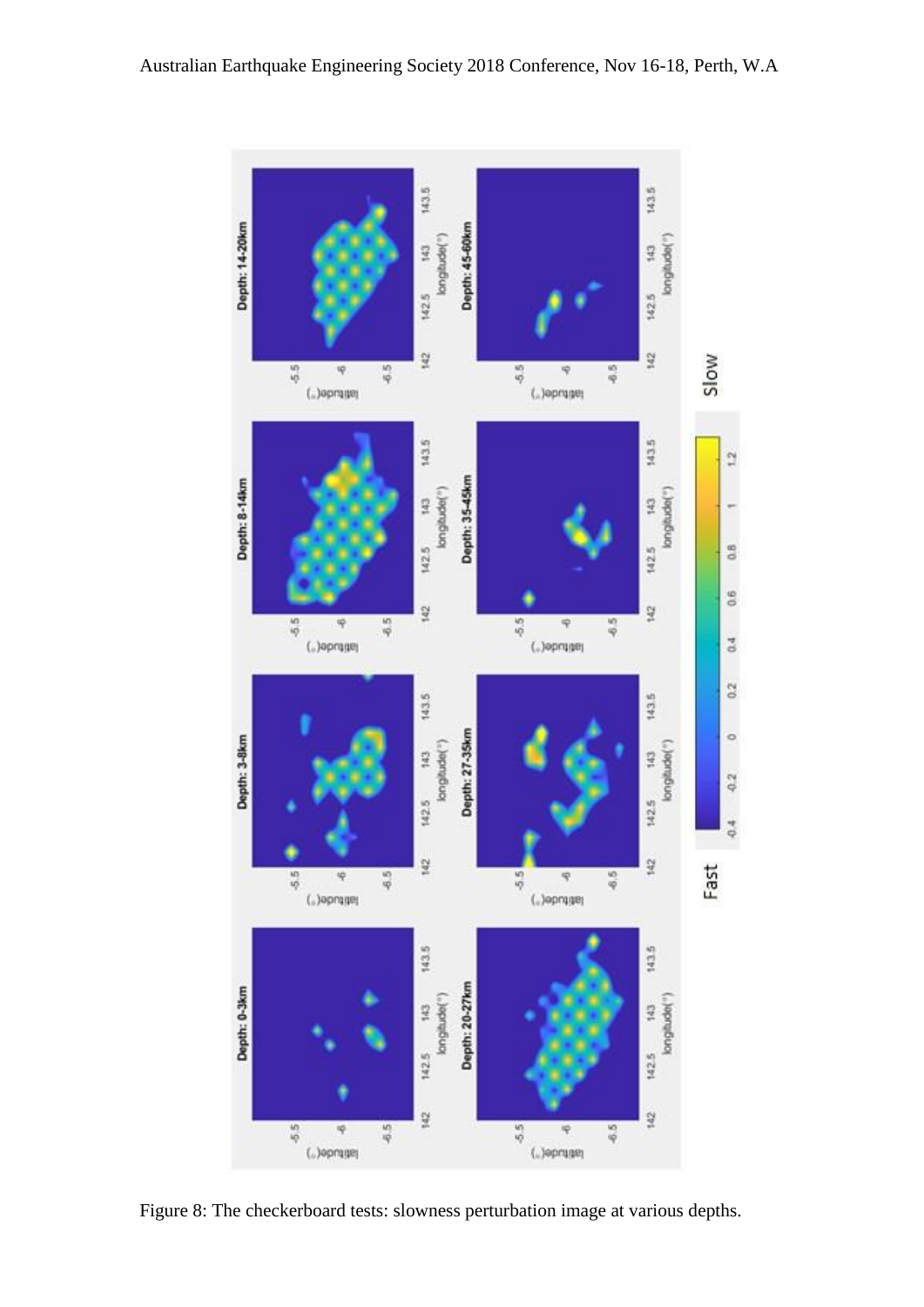

Figure 8: The checkerboard tests: slowness perturbation image at various depths.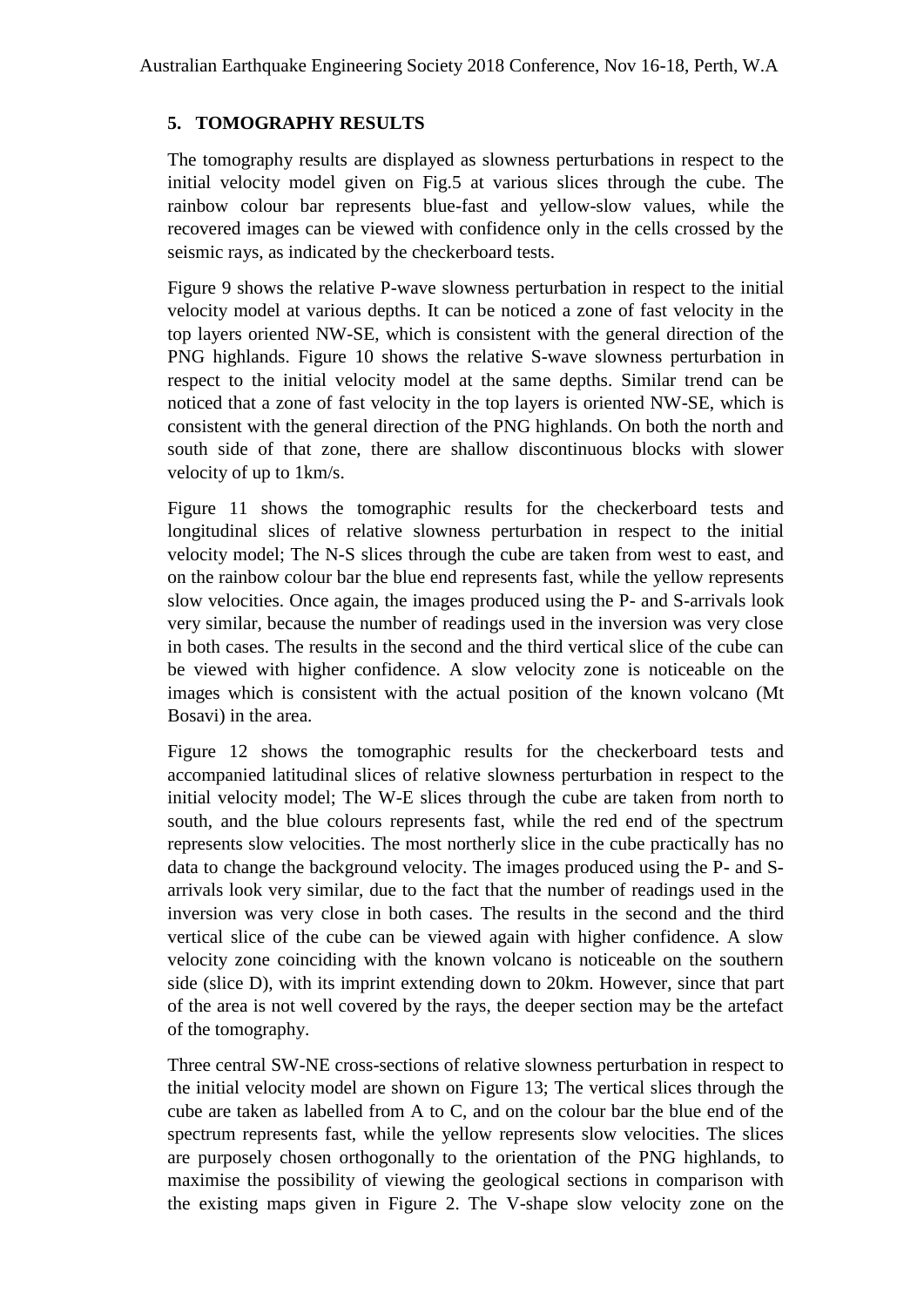## **5. TOMOGRAPHY RESULTS**

The tomography results are displayed as slowness perturbations in respect to the initial velocity model given on Fig.5 at various slices through the cube. The rainbow colour bar represents blue-fast and yellow-slow values, while the recovered images can be viewed with confidence only in the cells crossed by the seismic rays, as indicated by the checkerboard tests.

Figure 9 shows the relative P-wave slowness perturbation in respect to the initial velocity model at various depths. It can be noticed a zone of fast velocity in the top layers oriented NW-SE, which is consistent with the general direction of the PNG highlands. Figure 10 shows the relative S-wave slowness perturbation in respect to the initial velocity model at the same depths. Similar trend can be noticed that a zone of fast velocity in the top layers is oriented NW-SE, which is consistent with the general direction of the PNG highlands. On both the north and south side of that zone, there are shallow discontinuous blocks with slower velocity of up to 1km/s.

Figure 11 shows the tomographic results for the checkerboard tests and longitudinal slices of relative slowness perturbation in respect to the initial velocity model; The N-S slices through the cube are taken from west to east, and on the rainbow colour bar the blue end represents fast, while the yellow represents slow velocities. Once again, the images produced using the P- and S-arrivals look very similar, because the number of readings used in the inversion was very close in both cases. The results in the second and the third vertical slice of the cube can be viewed with higher confidence. A slow velocity zone is noticeable on the images which is consistent with the actual position of the known volcano (Mt Bosavi) in the area.

Figure 12 shows the tomographic results for the checkerboard tests and accompanied latitudinal slices of relative slowness perturbation in respect to the initial velocity model; The W-E slices through the cube are taken from north to south, and the blue colours represents fast, while the red end of the spectrum represents slow velocities. The most northerly slice in the cube practically has no data to change the background velocity. The images produced using the P- and Sarrivals look very similar, due to the fact that the number of readings used in the inversion was very close in both cases. The results in the second and the third vertical slice of the cube can be viewed again with higher confidence. A slow velocity zone coinciding with the known volcano is noticeable on the southern side (slice D), with its imprint extending down to 20km. However, since that part of the area is not well covered by the rays, the deeper section may be the artefact of the tomography.

Three central SW-NE cross-sections of relative slowness perturbation in respect to the initial velocity model are shown on Figure 13; The vertical slices through the cube are taken as labelled from A to C, and on the colour bar the blue end of the spectrum represents fast, while the yellow represents slow velocities. The slices are purposely chosen orthogonally to the orientation of the PNG highlands, to maximise the possibility of viewing the geological sections in comparison with the existing maps given in Figure 2. The V-shape slow velocity zone on the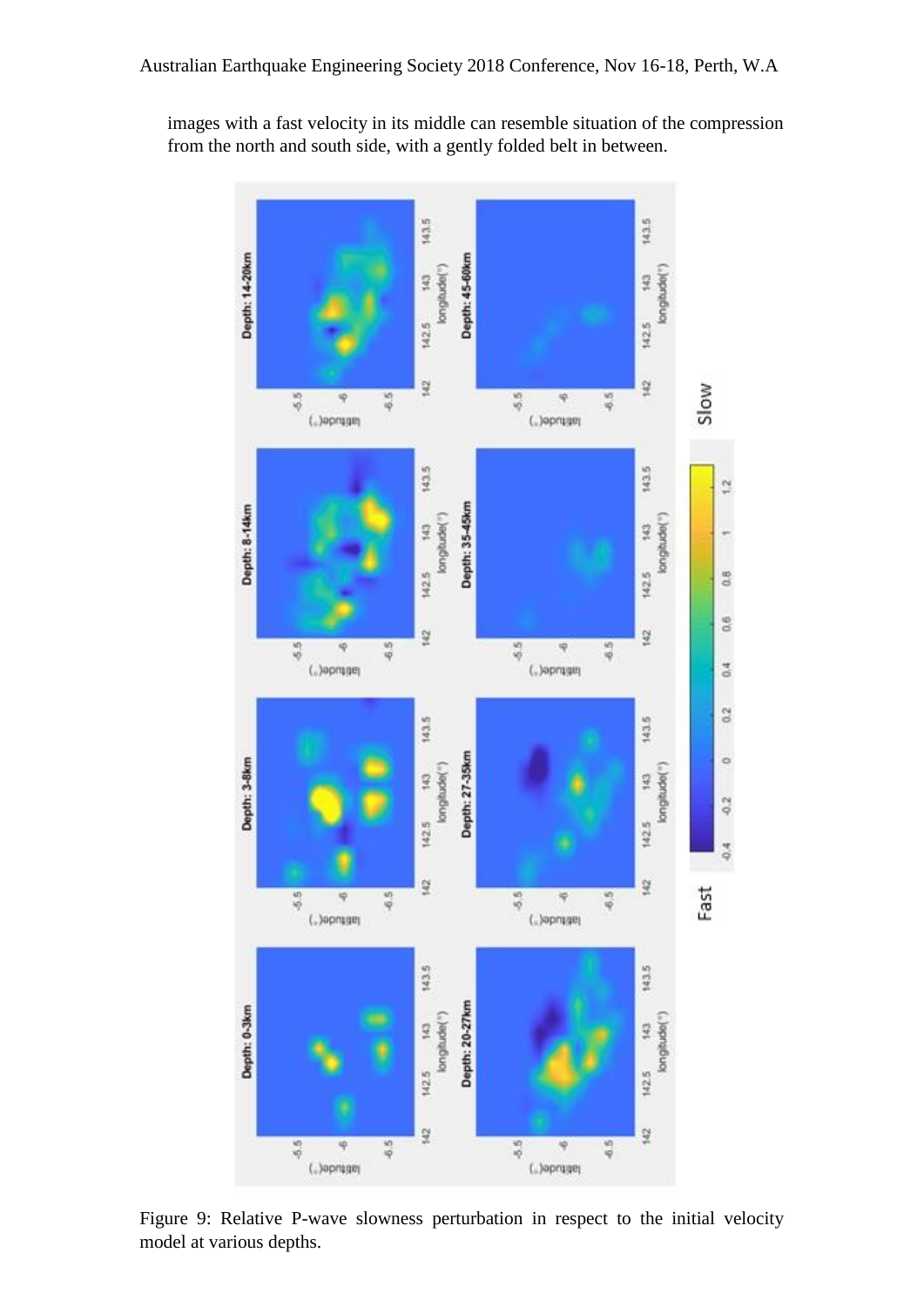images with a fast velocity in its middle can resemble situation of the compression from the north and south side, with a gently folded belt in between.



Figure 9: Relative P-wave slowness perturbation in respect to the initial velocity model at various depths.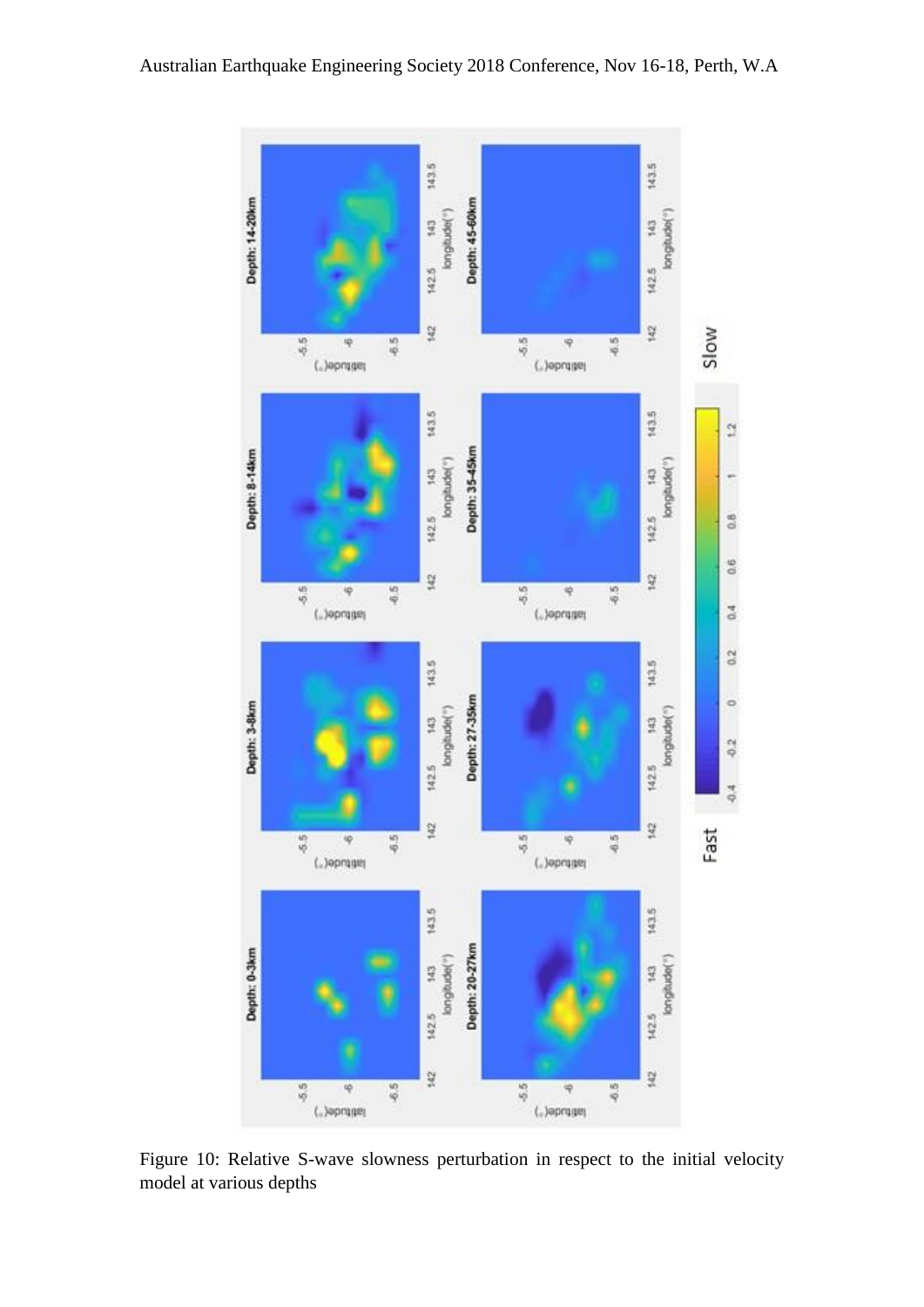

Figure 10: Relative S-wave slowness perturbation in respect to the initial velocity model at various depths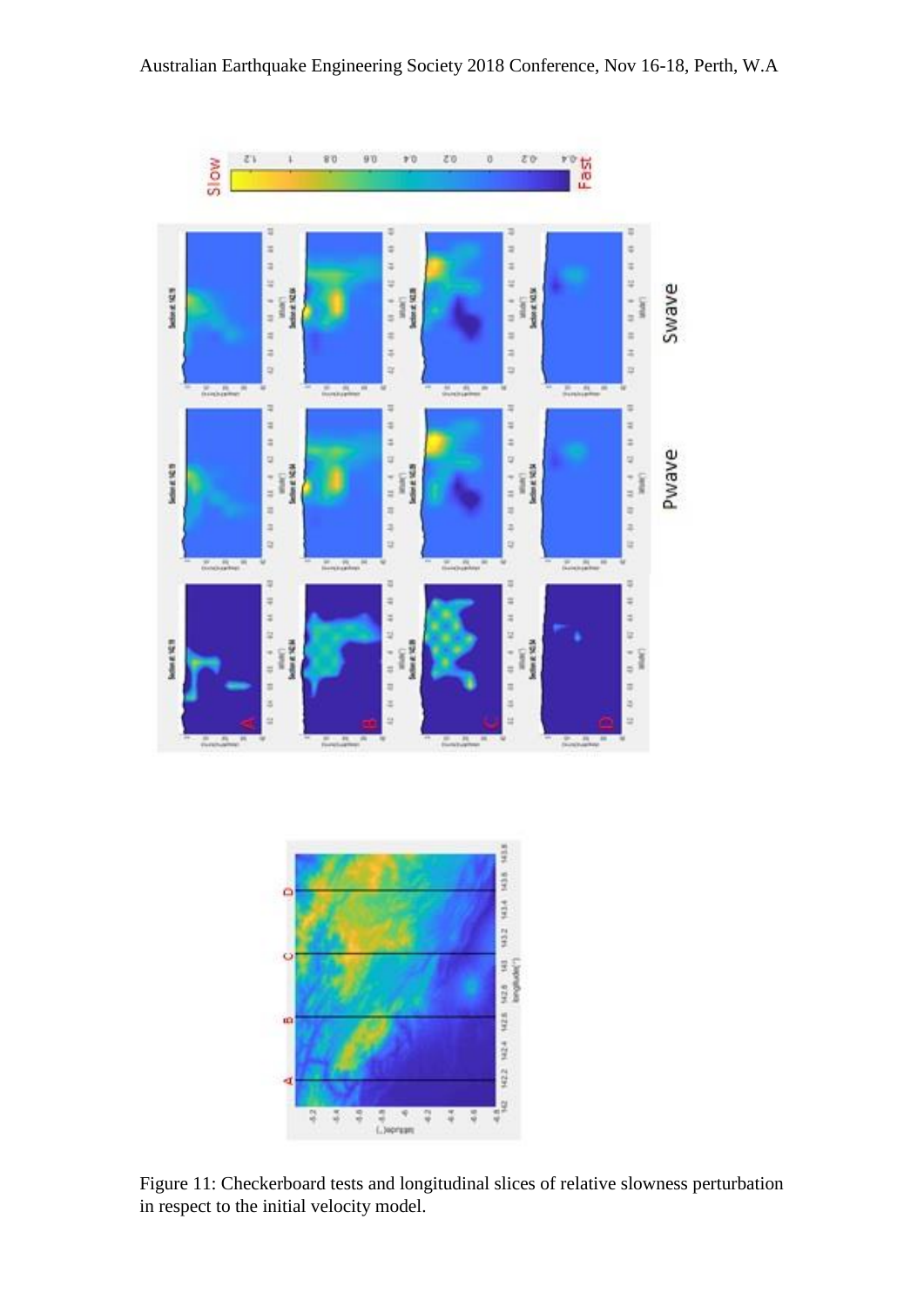

Figure 11: Checkerboard tests and longitudinal slices of relative slowness perturbation in respect to the initial velocity model.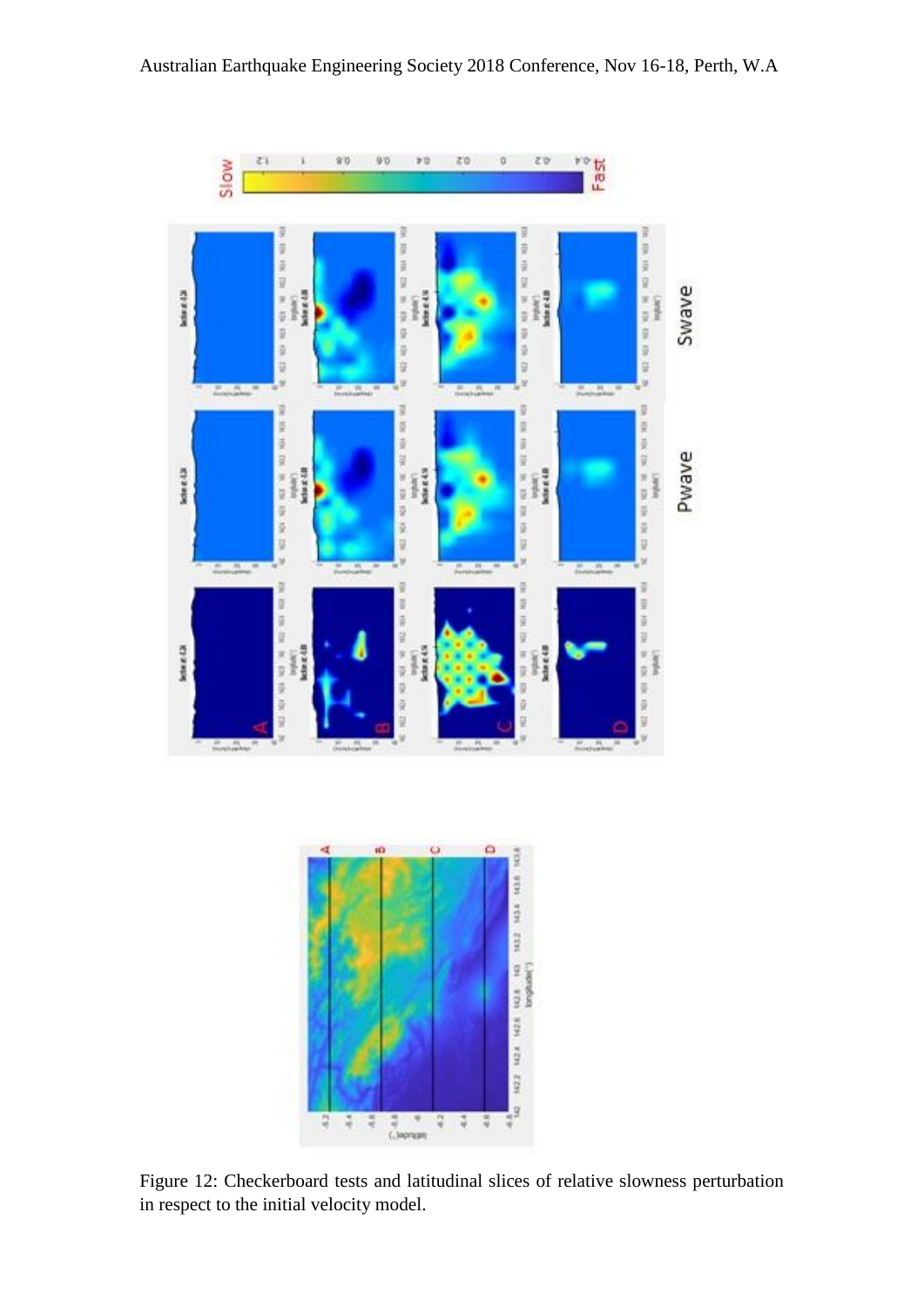

Figure 12: Checkerboard tests and latitudinal slices of relative slowness perturbation in respect to the initial velocity model.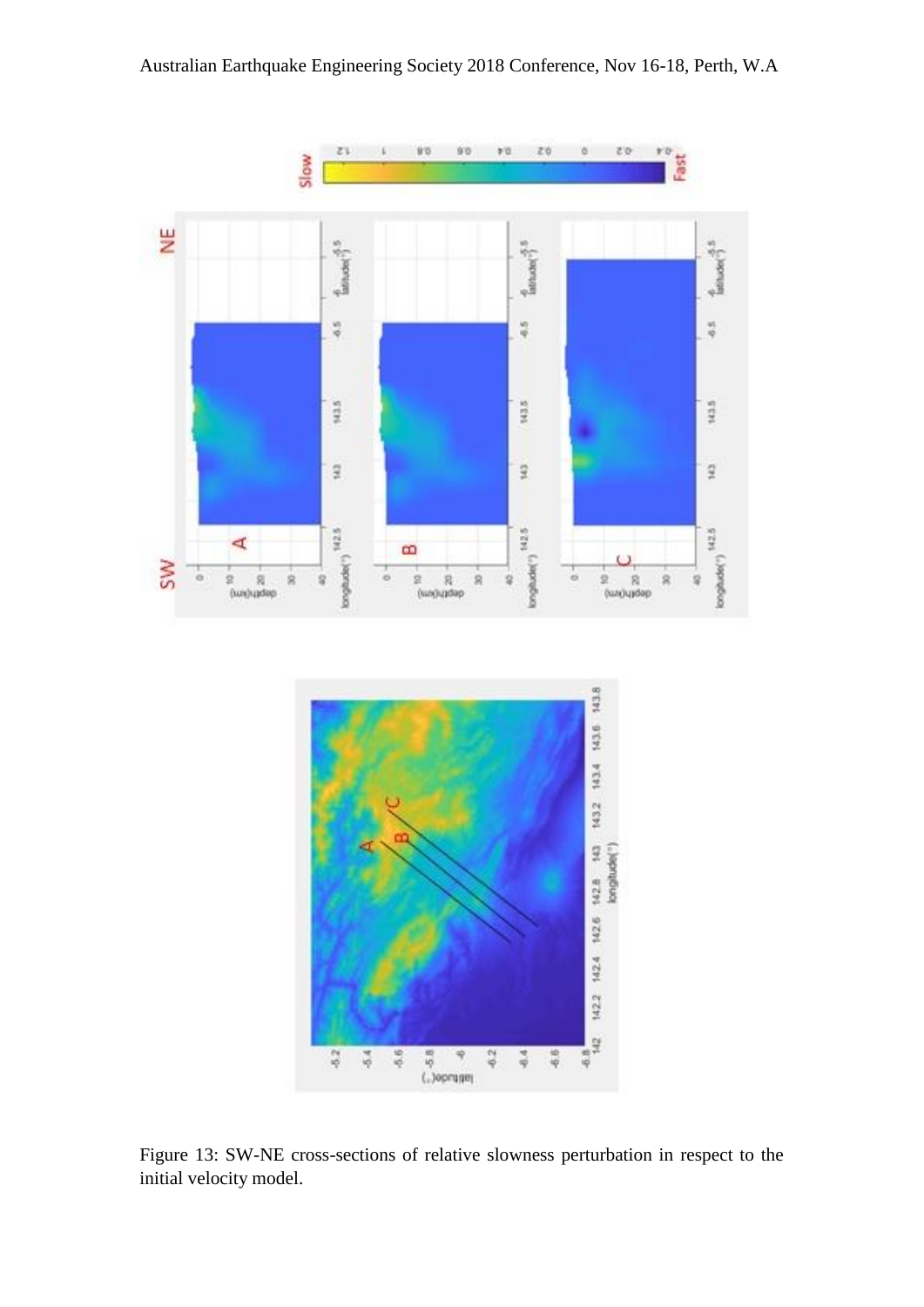## Australian Earthquake Engineering Society 2018 Conference, Nov 16-18, Perth, W.A



Figure 13: SW-NE cross-sections of relative slowness perturbation in respect to the initial velocity model.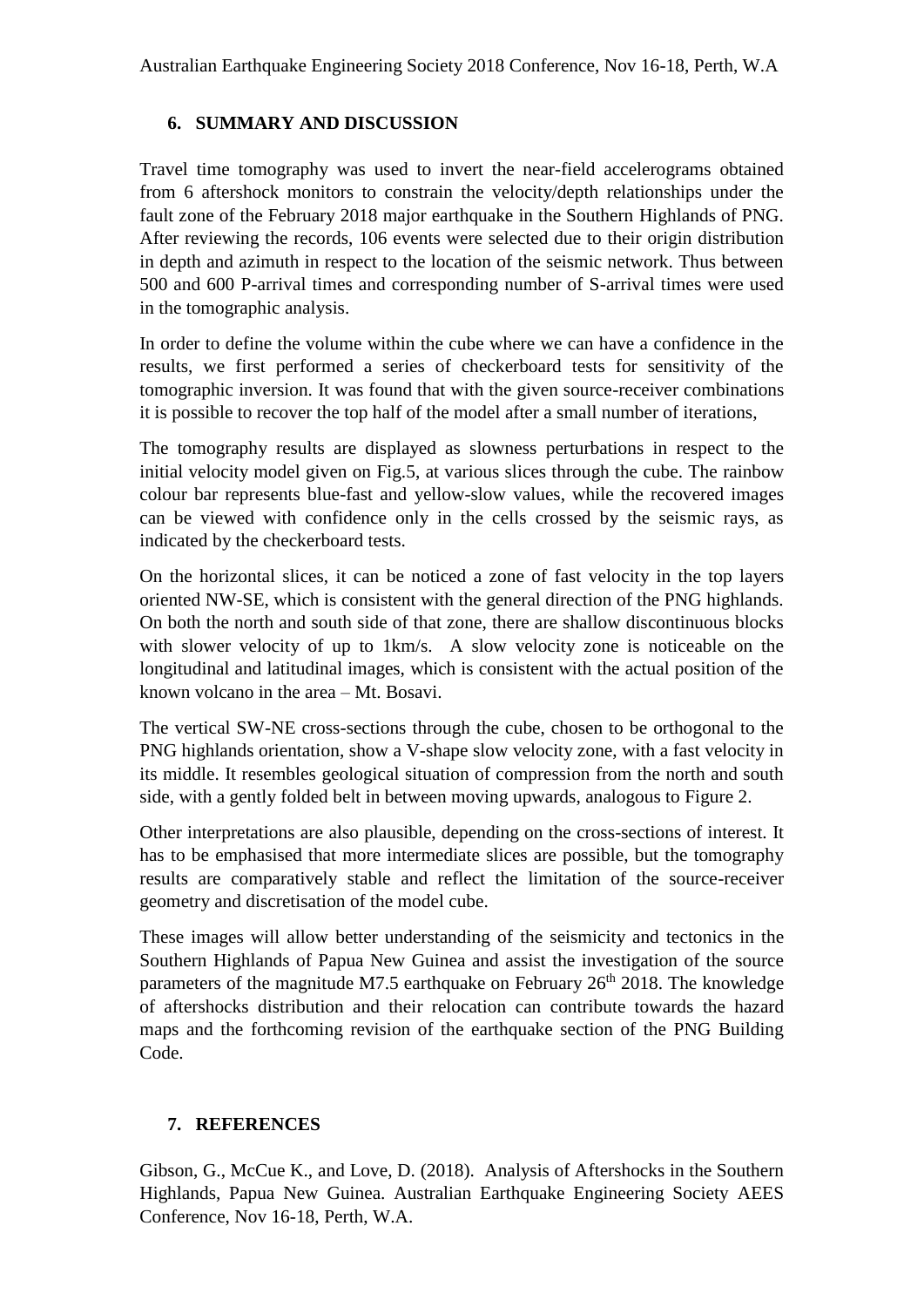## **6. SUMMARY AND DISCUSSION**

Travel time tomography was used to invert the near-field accelerograms obtained from 6 aftershock monitors to constrain the velocity/depth relationships under the fault zone of the February 2018 major earthquake in the Southern Highlands of PNG. After reviewing the records, 106 events were selected due to their origin distribution in depth and azimuth in respect to the location of the seismic network. Thus between 500 and 600 P-arrival times and corresponding number of S-arrival times were used in the tomographic analysis.

In order to define the volume within the cube where we can have a confidence in the results, we first performed a series of checkerboard tests for sensitivity of the tomographic inversion. It was found that with the given source-receiver combinations it is possible to recover the top half of the model after a small number of iterations,

The tomography results are displayed as slowness perturbations in respect to the initial velocity model given on Fig.5, at various slices through the cube. The rainbow colour bar represents blue-fast and yellow-slow values, while the recovered images can be viewed with confidence only in the cells crossed by the seismic rays, as indicated by the checkerboard tests.

On the horizontal slices, it can be noticed a zone of fast velocity in the top layers oriented NW-SE, which is consistent with the general direction of the PNG highlands. On both the north and south side of that zone, there are shallow discontinuous blocks with slower velocity of up to 1km/s. A slow velocity zone is noticeable on the longitudinal and latitudinal images, which is consistent with the actual position of the known volcano in the area – Mt. Bosavi.

The vertical SW-NE cross-sections through the cube, chosen to be orthogonal to the PNG highlands orientation, show a V-shape slow velocity zone, with a fast velocity in its middle. It resembles geological situation of compression from the north and south side, with a gently folded belt in between moving upwards, analogous to Figure 2.

Other interpretations are also plausible, depending on the cross-sections of interest. It has to be emphasised that more intermediate slices are possible, but the tomography results are comparatively stable and reflect the limitation of the source-receiver geometry and discretisation of the model cube.

These images will allow better understanding of the seismicity and tectonics in the Southern Highlands of Papua New Guinea and assist the investigation of the source parameters of the magnitude M7.5 earthquake on February  $26<sup>th</sup>$  2018. The knowledge of aftershocks distribution and their relocation can contribute towards the hazard maps and the forthcoming revision of the earthquake section of the PNG Building Code.

#### **7. REFERENCES**

Gibson, G., McCue K., and Love, D. (2018). Analysis of Aftershocks in the Southern Highlands, Papua New Guinea. Australian Earthquake Engineering Society AEES Conference, Nov 16-18, Perth, W.A.